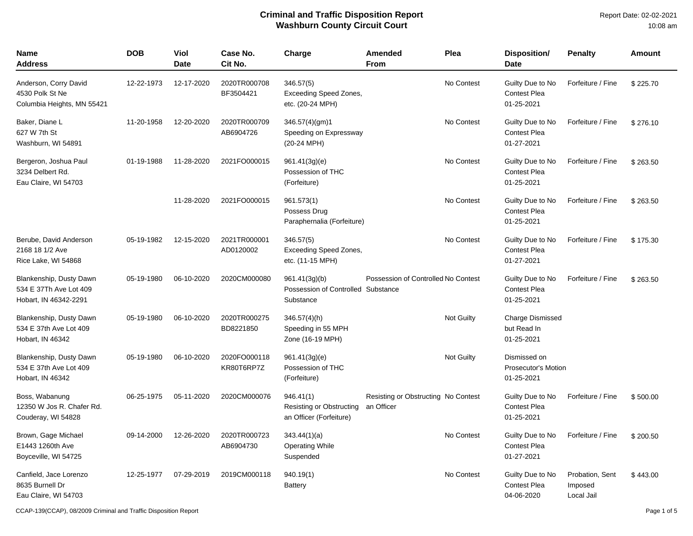Report Date: 02-02-2021 10:08 am

| <b>Name</b><br>Address                                                     | <b>DOB</b> | Viol<br><b>Date</b> | Case No.<br>Cit No.        | Charge                                                           | <b>Amended</b><br><b>From</b>                     | Plea              | <b>Disposition/</b><br><b>Date</b>                    | <b>Penalty</b>                           | <b>Amount</b> |
|----------------------------------------------------------------------------|------------|---------------------|----------------------------|------------------------------------------------------------------|---------------------------------------------------|-------------------|-------------------------------------------------------|------------------------------------------|---------------|
| Anderson, Corry David<br>4530 Polk St Ne<br>Columbia Heights, MN 55421     | 12-22-1973 | 12-17-2020          | 2020TR000708<br>BF3504421  | 346.57(5)<br>Exceeding Speed Zones,<br>etc. (20-24 MPH)          |                                                   | No Contest        | Guilty Due to No<br><b>Contest Plea</b><br>01-25-2021 | Forfeiture / Fine                        | \$225.70      |
| Baker, Diane L<br>627 W 7th St<br>Washburn, WI 54891                       | 11-20-1958 | 12-20-2020          | 2020TR000709<br>AB6904726  | 346.57(4)(gm)1<br>Speeding on Expressway<br>(20-24 MPH)          |                                                   | No Contest        | Guilty Due to No<br><b>Contest Plea</b><br>01-27-2021 | Forfeiture / Fine                        | \$276.10      |
| Bergeron, Joshua Paul<br>3234 Delbert Rd.<br>Eau Claire, WI 54703          | 01-19-1988 | 11-28-2020          | 2021FO000015               | 961.41(3g)(e)<br>Possession of THC<br>(Forfeiture)               |                                                   | No Contest        | Guilty Due to No<br><b>Contest Plea</b><br>01-25-2021 | Forfeiture / Fine                        | \$263.50      |
|                                                                            |            | 11-28-2020          | 2021FO000015               | 961.573(1)<br>Possess Drug<br>Paraphernalia (Forfeiture)         |                                                   | No Contest        | Guilty Due to No<br>Contest Plea<br>01-25-2021        | Forfeiture / Fine                        | \$263.50      |
| Berube, David Anderson<br>2168 18 1/2 Ave<br>Rice Lake, WI 54868           | 05-19-1982 | 12-15-2020          | 2021TR000001<br>AD0120002  | 346.57(5)<br><b>Exceeding Speed Zones,</b><br>etc. (11-15 MPH)   |                                                   | No Contest        | Guilty Due to No<br><b>Contest Plea</b><br>01-27-2021 | Forfeiture / Fine                        | \$175.30      |
| Blankenship, Dusty Dawn<br>534 E 37Th Ave Lot 409<br>Hobart, IN 46342-2291 | 05-19-1980 | 06-10-2020          | 2020CM000080               | 961.41(3g)(b)<br>Possession of Controlled Substance<br>Substance | Possession of Controlled No Contest               |                   | Guilty Due to No<br><b>Contest Plea</b><br>01-25-2021 | Forfeiture / Fine                        | \$263.50      |
| Blankenship, Dusty Dawn<br>534 E 37th Ave Lot 409<br>Hobart, IN 46342      | 05-19-1980 | 06-10-2020          | 2020TR000275<br>BD8221850  | $346.57(4)$ (h)<br>Speeding in 55 MPH<br>Zone (16-19 MPH)        |                                                   | Not Guilty        | <b>Charge Dismissed</b><br>but Read In<br>01-25-2021  |                                          |               |
| Blankenship, Dusty Dawn<br>534 E 37th Ave Lot 409<br>Hobart, IN 46342      | 05-19-1980 | 06-10-2020          | 2020FO000118<br>KR80T6RP7Z | 961.41(3g)(e)<br>Possession of THC<br>(Forfeiture)               |                                                   | <b>Not Guilty</b> | Dismissed on<br>Prosecutor's Motion<br>01-25-2021     |                                          |               |
| Boss, Wabanung<br>12350 W Jos R. Chafer Rd.<br>Couderay, WI 54828          | 06-25-1975 | 05-11-2020          | 2020CM000076               | 946.41(1)<br>Resisting or Obstructing<br>an Officer (Forfeiture) | Resisting or Obstructing No Contest<br>an Officer |                   | Guilty Due to No<br><b>Contest Plea</b><br>01-25-2021 | Forfeiture / Fine                        | \$500.00      |
| Brown, Gage Michael<br>E1443 1260th Ave<br>Boyceville, WI 54725            | 09-14-2000 | 12-26-2020          | 2020TR000723<br>AB6904730  | 343.44(1)(a)<br><b>Operating While</b><br>Suspended              |                                                   | No Contest        | Guilty Due to No<br><b>Contest Plea</b><br>01-27-2021 | Forfeiture / Fine                        | \$200.50      |
| Canfield, Jace Lorenzo<br>8635 Burnell Dr<br>Eau Claire, WI 54703          | 12-25-1977 | 07-29-2019          | 2019CM000118               | 940.19(1)<br><b>Battery</b>                                      |                                                   | No Contest        | Guilty Due to No<br><b>Contest Plea</b><br>04-06-2020 | Probation, Sent<br>Imposed<br>Local Jail | \$443.00      |

CCAP-139(CCAP), 08/2009 Criminal and Traffic Disposition Report Page 1 of 5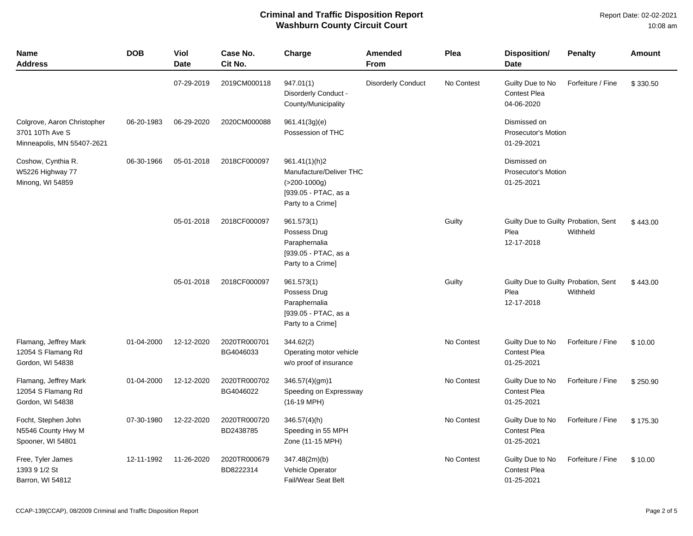Report Date: 02-02-2021 10:08 am

| <b>Name</b><br><b>Address</b>                                                | <b>DOB</b> | Viol<br><b>Date</b> | Case No.<br>Cit No.       | Charge                                                                                                      | Amended<br><b>From</b>    | Plea       | <b>Disposition/</b><br><b>Date</b>                         | <b>Penalty</b>    | <b>Amount</b> |
|------------------------------------------------------------------------------|------------|---------------------|---------------------------|-------------------------------------------------------------------------------------------------------------|---------------------------|------------|------------------------------------------------------------|-------------------|---------------|
|                                                                              |            | 07-29-2019          | 2019CM000118              | 947.01(1)<br>Disorderly Conduct -<br>County/Municipality                                                    | <b>Disorderly Conduct</b> | No Contest | Guilty Due to No<br><b>Contest Plea</b><br>04-06-2020      | Forfeiture / Fine | \$330.50      |
| Colgrove, Aaron Christopher<br>3701 10Th Ave S<br>Minneapolis, MN 55407-2621 | 06-20-1983 | 06-29-2020          | 2020CM000088              | 961.41(3g)(e)<br>Possession of THC                                                                          |                           |            | Dismissed on<br><b>Prosecutor's Motion</b><br>01-29-2021   |                   |               |
| Coshow, Cynthia R.<br>W5226 Highway 77<br>Minong, WI 54859                   | 06-30-1966 | 05-01-2018          | 2018CF000097              | 961.41(1)(h)2<br>Manufacture/Deliver THC<br>$( > 200 - 1000g)$<br>[939.05 - PTAC, as a<br>Party to a Crime] |                           |            | Dismissed on<br>Prosecutor's Motion<br>01-25-2021          |                   |               |
|                                                                              |            | 05-01-2018          | 2018CF000097              | 961.573(1)<br>Possess Drug<br>Paraphernalia<br>[939.05 - PTAC, as a<br>Party to a Crime]                    |                           | Guilty     | Guilty Due to Guilty Probation, Sent<br>Plea<br>12-17-2018 | Withheld          | \$443.00      |
|                                                                              |            | 05-01-2018          | 2018CF000097              | 961.573(1)<br>Possess Drug<br>Paraphernalia<br>[939.05 - PTAC, as a<br>Party to a Crime]                    |                           | Guilty     | Guilty Due to Guilty Probation, Sent<br>Plea<br>12-17-2018 | Withheld          | \$443.00      |
| Flamang, Jeffrey Mark<br>12054 S Flamang Rd<br>Gordon, WI 54838              | 01-04-2000 | 12-12-2020          | 2020TR000701<br>BG4046033 | 344.62(2)<br>Operating motor vehicle<br>w/o proof of insurance                                              |                           | No Contest | Guilty Due to No<br>Contest Plea<br>01-25-2021             | Forfeiture / Fine | \$10.00       |
| Flamang, Jeffrey Mark<br>12054 S Flamang Rd<br>Gordon, WI 54838              | 01-04-2000 | 12-12-2020          | 2020TR000702<br>BG4046022 | 346.57(4)(gm)1<br>Speeding on Expressway<br>$(16-19 \text{ MPH})$                                           |                           | No Contest | Guilty Due to No<br>Contest Plea<br>01-25-2021             | Forfeiture / Fine | \$250.90      |
| Focht, Stephen John<br>N5546 County Hwy M<br>Spooner, WI 54801               | 07-30-1980 | 12-22-2020          | 2020TR000720<br>BD2438785 | 346.57(4)(h)<br>Speeding in 55 MPH<br>Zone (11-15 MPH)                                                      |                           | No Contest | Guilty Due to No<br>Contest Plea<br>01-25-2021             | Forfeiture / Fine | \$175.30      |
| Free, Tyler James<br>1393 9 1/2 St<br>Barron, WI 54812                       | 12-11-1992 | 11-26-2020          | 2020TR000679<br>BD8222314 | 347.48(2m)(b)<br>Vehicle Operator<br>Fail/Wear Seat Belt                                                    |                           | No Contest | Guilty Due to No<br><b>Contest Plea</b><br>01-25-2021      | Forfeiture / Fine | \$10.00       |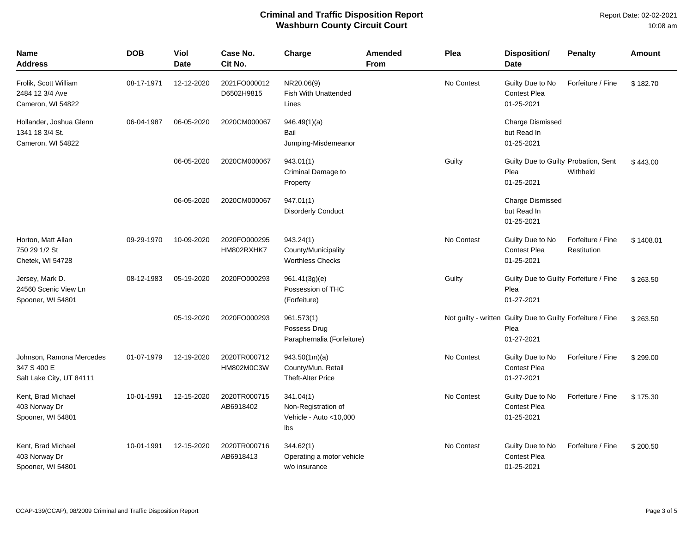| <b>Name</b><br>Address                                              | <b>DOB</b> | Viol<br><b>Date</b> | Case No.<br>Cit No.        | Charge                                                            | Amended<br><b>From</b> | Plea       | <b>Disposition/</b><br><b>Date</b>                                                | <b>Penalty</b>                   | <b>Amount</b> |
|---------------------------------------------------------------------|------------|---------------------|----------------------------|-------------------------------------------------------------------|------------------------|------------|-----------------------------------------------------------------------------------|----------------------------------|---------------|
| Frolik, Scott William<br>2484 12 3/4 Ave<br>Cameron, WI 54822       | 08-17-1971 | 12-12-2020          | 2021FO000012<br>D6502H9815 | NR20.06(9)<br><b>Fish With Unattended</b><br>Lines                |                        | No Contest | Guilty Due to No<br><b>Contest Plea</b><br>01-25-2021                             | Forfeiture / Fine                | \$182.70      |
| Hollander, Joshua Glenn<br>1341 18 3/4 St.<br>Cameron, WI 54822     | 06-04-1987 | 06-05-2020          | 2020CM000067               | 946.49(1)(a)<br>Bail<br>Jumping-Misdemeanor                       |                        |            | Charge Dismissed<br>but Read In<br>01-25-2021                                     |                                  |               |
|                                                                     |            | 06-05-2020          | 2020CM000067               | 943.01(1)<br>Criminal Damage to<br>Property                       |                        | Guilty     | Guilty Due to Guilty Probation, Sent<br>Plea<br>01-25-2021                        | Withheld                         | \$443.00      |
|                                                                     |            | 06-05-2020          | 2020CM000067               | 947.01(1)<br><b>Disorderly Conduct</b>                            |                        |            | <b>Charge Dismissed</b><br>but Read In<br>01-25-2021                              |                                  |               |
| Horton, Matt Allan<br>750 29 1/2 St<br>Chetek, WI 54728             | 09-29-1970 | 10-09-2020          | 2020FO000295<br>HM802RXHK7 | 943.24(1)<br>County/Municipality<br><b>Worthless Checks</b>       |                        | No Contest | Guilty Due to No<br><b>Contest Plea</b><br>01-25-2021                             | Forfeiture / Fine<br>Restitution | \$1408.01     |
| Jersey, Mark D.<br>24560 Scenic View Ln<br>Spooner, WI 54801        | 08-12-1983 | 05-19-2020          | 2020FO000293               | 961.41(3g)(e)<br>Possession of THC<br>(Forfeiture)                |                        | Guilty     | Guilty Due to Guilty Forfeiture / Fine<br>Plea<br>01-27-2021                      |                                  | \$263.50      |
|                                                                     |            | 05-19-2020          | 2020FO000293               | 961.573(1)<br>Possess Drug<br>Paraphernalia (Forfeiture)          |                        |            | Not guilty - written Guilty Due to Guilty Forfeiture / Fine<br>Plea<br>01-27-2021 |                                  | \$263.50      |
| Johnson, Ramona Mercedes<br>347 S 400 E<br>Salt Lake City, UT 84111 | 01-07-1979 | 12-19-2020          | 2020TR000712<br>HM802M0C3W | 943.50(1m)(a)<br>County/Mun. Retail<br><b>Theft-Alter Price</b>   |                        | No Contest | Guilty Due to No<br>Contest Plea<br>01-27-2021                                    | Forfeiture / Fine                | \$299.00      |
| Kent, Brad Michael<br>403 Norway Dr<br>Spooner, WI 54801            | 10-01-1991 | 12-15-2020          | 2020TR000715<br>AB6918402  | 341.04(1)<br>Non-Registration of<br>Vehicle - Auto <10,000<br>lbs |                        | No Contest | Guilty Due to No<br><b>Contest Plea</b><br>01-25-2021                             | Forfeiture / Fine                | \$175.30      |
| Kent, Brad Michael<br>403 Norway Dr<br>Spooner, WI 54801            | 10-01-1991 | 12-15-2020          | 2020TR000716<br>AB6918413  | 344.62(1)<br>Operating a motor vehicle<br>w/o insurance           |                        | No Contest | Guilty Due to No<br>Contest Plea<br>01-25-2021                                    | Forfeiture / Fine                | \$200.50      |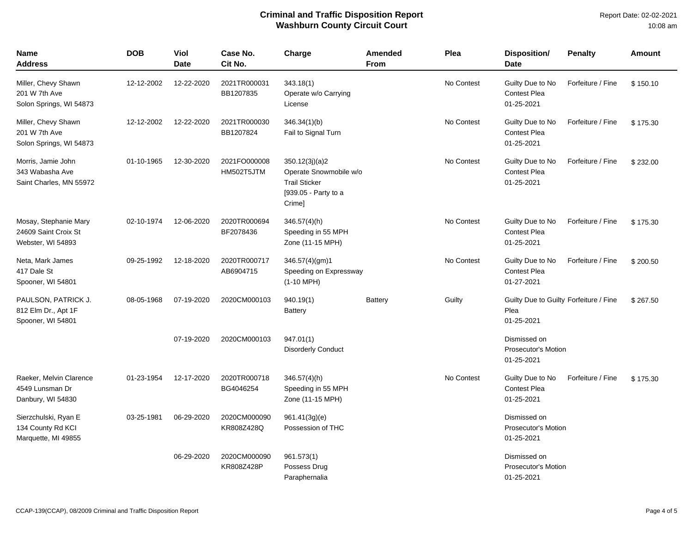| <b>Name</b><br><b>Address</b>                                      | <b>DOB</b> | Viol<br><b>Date</b> | Case No.<br>Cit No.        | Charge                                                                                             | Amended<br><b>From</b> | Plea       | Disposition/<br><b>Date</b>                                  | <b>Penalty</b>    | Amount   |
|--------------------------------------------------------------------|------------|---------------------|----------------------------|----------------------------------------------------------------------------------------------------|------------------------|------------|--------------------------------------------------------------|-------------------|----------|
| Miller, Chevy Shawn<br>201 W 7th Ave<br>Solon Springs, WI 54873    | 12-12-2002 | 12-22-2020          | 2021TR000031<br>BB1207835  | 343.18(1)<br>Operate w/o Carrying<br>License                                                       |                        | No Contest | Guilty Due to No<br><b>Contest Plea</b><br>01-25-2021        | Forfeiture / Fine | \$150.10 |
| Miller, Chevy Shawn<br>201 W 7th Ave<br>Solon Springs, WI 54873    | 12-12-2002 | 12-22-2020          | 2021TR000030<br>BB1207824  | 346.34(1)(b)<br>Fail to Signal Turn                                                                |                        | No Contest | Guilty Due to No<br><b>Contest Plea</b><br>01-25-2021        | Forfeiture / Fine | \$175.30 |
| Morris, Jamie John<br>343 Wabasha Ave<br>Saint Charles, MN 55972   | 01-10-1965 | 12-30-2020          | 2021FO000008<br>HM502T5JTM | 350.12(3j)(a)2<br>Operate Snowmobile w/o<br><b>Trail Sticker</b><br>[939.05 - Party to a<br>Crime] |                        | No Contest | Guilty Due to No<br><b>Contest Plea</b><br>01-25-2021        | Forfeiture / Fine | \$232.00 |
| Mosay, Stephanie Mary<br>24609 Saint Croix St<br>Webster, WI 54893 | 02-10-1974 | 12-06-2020          | 2020TR000694<br>BF2078436  | 346.57(4)(h)<br>Speeding in 55 MPH<br>Zone (11-15 MPH)                                             |                        | No Contest | Guilty Due to No<br><b>Contest Plea</b><br>01-25-2021        | Forfeiture / Fine | \$175.30 |
| Neta, Mark James<br>417 Dale St<br>Spooner, WI 54801               | 09-25-1992 | 12-18-2020          | 2020TR000717<br>AB6904715  | 346.57(4)(gm)1<br>Speeding on Expressway<br>$(1-10$ MPH)                                           |                        | No Contest | Guilty Due to No<br><b>Contest Plea</b><br>01-27-2021        | Forfeiture / Fine | \$200.50 |
| PAULSON, PATRICK J.<br>812 Elm Dr., Apt 1F<br>Spooner, WI 54801    | 08-05-1968 | 07-19-2020          | 2020CM000103               | 940.19(1)<br>Battery                                                                               | <b>Battery</b>         | Guilty     | Guilty Due to Guilty Forfeiture / Fine<br>Plea<br>01-25-2021 |                   | \$267.50 |
|                                                                    |            | 07-19-2020          | 2020CM000103               | 947.01(1)<br><b>Disorderly Conduct</b>                                                             |                        |            | Dismissed on<br><b>Prosecutor's Motion</b><br>01-25-2021     |                   |          |
| Raeker, Melvin Clarence<br>4549 Lunsman Dr<br>Danbury, WI 54830    | 01-23-1954 | 12-17-2020          | 2020TR000718<br>BG4046254  | 346.57(4)(h)<br>Speeding in 55 MPH<br>Zone (11-15 MPH)                                             |                        | No Contest | Guilty Due to No<br><b>Contest Plea</b><br>01-25-2021        | Forfeiture / Fine | \$175.30 |
| Sierzchulski, Ryan E<br>134 County Rd KCI<br>Marquette, MI 49855   | 03-25-1981 | 06-29-2020          | 2020CM000090<br>KR808Z428Q | 961.41(3g)(e)<br>Possession of THC                                                                 |                        |            | Dismissed on<br>Prosecutor's Motion<br>01-25-2021            |                   |          |
|                                                                    |            | 06-29-2020          | 2020CM000090<br>KR808Z428P | 961.573(1)<br>Possess Drug<br>Paraphernalia                                                        |                        |            | Dismissed on<br><b>Prosecutor's Motion</b><br>01-25-2021     |                   |          |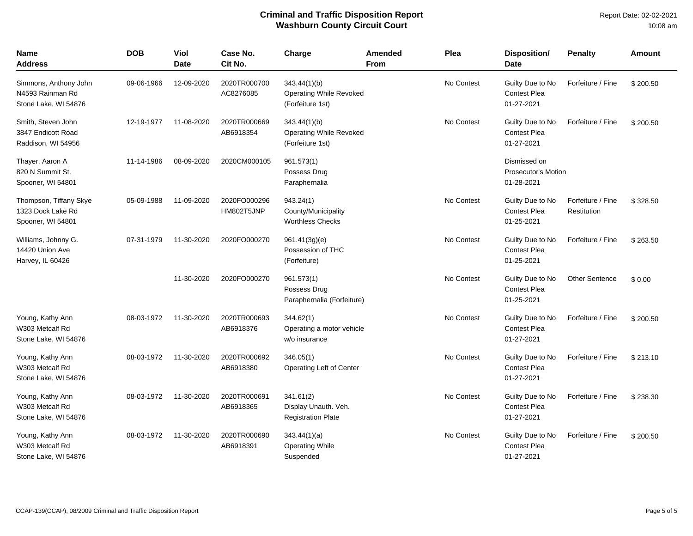| <b>Name</b><br>Address                                            | <b>DOB</b> | Viol<br><b>Date</b> | Case No.<br>Cit No.        | Charge                                                         | <b>Amended</b><br><b>From</b> | Plea                                                     | Disposition/<br>Date                                  | <b>Penalty</b>                   | <b>Amount</b> |
|-------------------------------------------------------------------|------------|---------------------|----------------------------|----------------------------------------------------------------|-------------------------------|----------------------------------------------------------|-------------------------------------------------------|----------------------------------|---------------|
| Simmons, Anthony John<br>N4593 Rainman Rd<br>Stone Lake, WI 54876 | 09-06-1966 | 12-09-2020          | 2020TR000700<br>AC8276085  | 343.44(1)(b)<br>Operating While Revoked<br>(Forfeiture 1st)    |                               | No Contest                                               | Guilty Due to No<br><b>Contest Plea</b><br>01-27-2021 | Forfeiture / Fine                | \$200.50      |
| Smith, Steven John<br>3847 Endicott Road<br>Raddison, WI 54956    | 12-19-1977 | 11-08-2020          | 2020TR000669<br>AB6918354  | 343.44(1)(b)<br>Operating While Revoked<br>(Forfeiture 1st)    |                               | No Contest                                               | Guilty Due to No<br><b>Contest Plea</b><br>01-27-2021 | Forfeiture / Fine                | \$200.50      |
| Thayer, Aaron A<br>820 N Summit St.<br>Spooner, WI 54801          | 11-14-1986 | 08-09-2020          | 2020CM000105               | 961.573(1)<br>Possess Drug<br>Paraphernalia                    |                               | Dismissed on<br><b>Prosecutor's Motion</b><br>01-28-2021 |                                                       |                                  |               |
| Thompson, Tiffany Skye<br>1323 Dock Lake Rd<br>Spooner, WI 54801  | 05-09-1988 | 11-09-2020          | 2020FO000296<br>HM802T5JNP | 943.24(1)<br>County/Municipality<br><b>Worthless Checks</b>    |                               | No Contest                                               | Guilty Due to No<br><b>Contest Plea</b><br>01-25-2021 | Forfeiture / Fine<br>Restitution | \$328.50      |
| Williams, Johnny G.<br>14420 Union Ave<br>Harvey, IL 60426        | 07-31-1979 | 11-30-2020          | 2020FO000270               | 961.41(3g)(e)<br>Possession of THC<br>(Forfeiture)             |                               | No Contest                                               | Guilty Due to No<br><b>Contest Plea</b><br>01-25-2021 | Forfeiture / Fine                | \$263.50      |
|                                                                   |            | 11-30-2020          | 2020FO000270               | 961.573(1)<br>Possess Drug<br>Paraphernalia (Forfeiture)       |                               | No Contest                                               | Guilty Due to No<br>Contest Plea<br>01-25-2021        | <b>Other Sentence</b>            | \$0.00        |
| Young, Kathy Ann<br>W303 Metcalf Rd<br>Stone Lake, WI 54876       | 08-03-1972 | 11-30-2020          | 2020TR000693<br>AB6918376  | 344.62(1)<br>Operating a motor vehicle<br>w/o insurance        |                               | No Contest                                               | Guilty Due to No<br><b>Contest Plea</b><br>01-27-2021 | Forfeiture / Fine                | \$200.50      |
| Young, Kathy Ann<br>W303 Metcalf Rd<br>Stone Lake, WI 54876       | 08-03-1972 | 11-30-2020          | 2020TR000692<br>AB6918380  | 346.05(1)<br>Operating Left of Center                          |                               | No Contest                                               | Guilty Due to No<br><b>Contest Plea</b><br>01-27-2021 | Forfeiture / Fine                | \$213.10      |
| Young, Kathy Ann<br>W303 Metcalf Rd<br>Stone Lake, WI 54876       | 08-03-1972 | 11-30-2020          | 2020TR000691<br>AB6918365  | 341.61(2)<br>Display Unauth. Veh.<br><b>Registration Plate</b> |                               | No Contest                                               | Guilty Due to No<br><b>Contest Plea</b><br>01-27-2021 | Forfeiture / Fine                | \$238.30      |
| Young, Kathy Ann<br>W303 Metcalf Rd<br>Stone Lake, WI 54876       | 08-03-1972 | 11-30-2020          | 2020TR000690<br>AB6918391  | 343.44(1)(a)<br><b>Operating While</b><br>Suspended            |                               | No Contest                                               | Guilty Due to No<br><b>Contest Plea</b><br>01-27-2021 | Forfeiture / Fine                | \$200.50      |